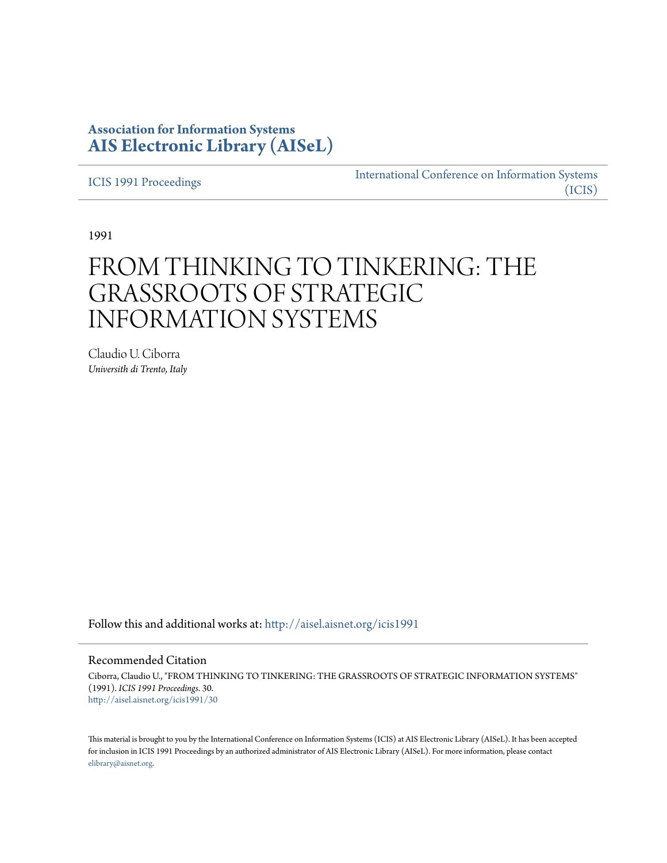## **Association for Information Systems [AIS Electronic Library \(AISeL\)](http://aisel.aisnet.org?utm_source=aisel.aisnet.org%2Ficis1991%2F30&utm_medium=PDF&utm_campaign=PDFCoverPages)**

[ICIS 1991 Proceedings](http://aisel.aisnet.org/icis1991?utm_source=aisel.aisnet.org%2Ficis1991%2F30&utm_medium=PDF&utm_campaign=PDFCoverPages)

[International Conference on Information Systems](http://aisel.aisnet.org/icis?utm_source=aisel.aisnet.org%2Ficis1991%2F30&utm_medium=PDF&utm_campaign=PDFCoverPages) [\(ICIS\)](http://aisel.aisnet.org/icis?utm_source=aisel.aisnet.org%2Ficis1991%2F30&utm_medium=PDF&utm_campaign=PDFCoverPages)

1991

# FROM THINKING TO TINKERING: THE GRASSROOTS OF STRATEGIC INFORMATION SYSTEMS

Claudio U. Ciborra *Universith di Trento, Italy*

Follow this and additional works at: [http://aisel.aisnet.org/icis1991](http://aisel.aisnet.org/icis1991?utm_source=aisel.aisnet.org%2Ficis1991%2F30&utm_medium=PDF&utm_campaign=PDFCoverPages)

## Recommended Citation

Ciborra, Claudio U., "FROM THINKING TO TINKERING: THE GRASSROOTS OF STRATEGIC INFORMATION SYSTEMS" (1991). *ICIS 1991 Proceedings*. 30. [http://aisel.aisnet.org/icis1991/30](http://aisel.aisnet.org/icis1991/30?utm_source=aisel.aisnet.org%2Ficis1991%2F30&utm_medium=PDF&utm_campaign=PDFCoverPages)

This material is brought to you by the International Conference on Information Systems (ICIS) at AIS Electronic Library (AISeL). It has been accepted for inclusion in ICIS 1991 Proceedings by an authorized administrator of AIS Electronic Library (AISeL). For more information, please contact [elibrary@aisnet.org.](mailto:elibrary@aisnet.org%3E)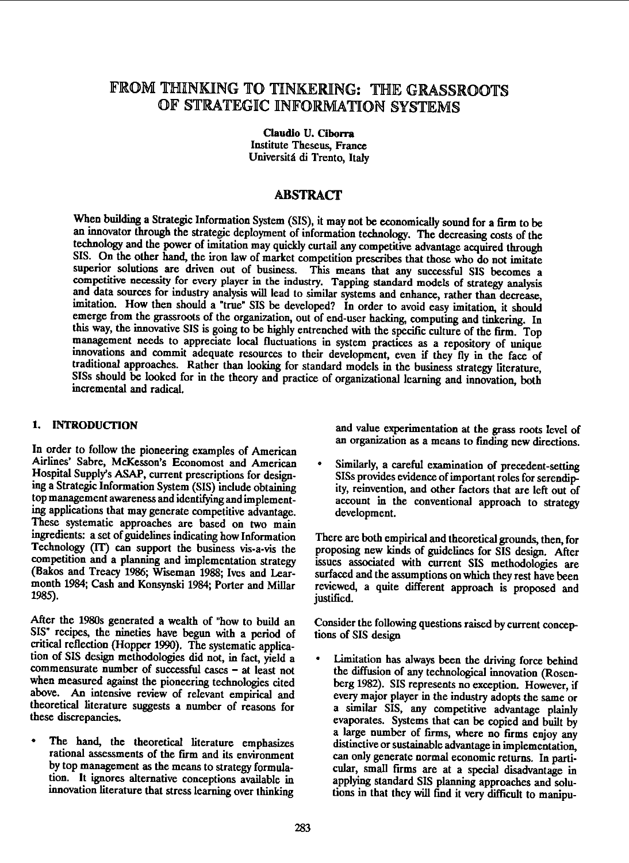## FROM THINKING TO TINKERING: THE GRASSROOTS OF STRATEGIC INFORMATION SYSTEMS

Claudio U. Ciborra Institute Theseus, France Universitá di Trento, Italy

## ABSTRACT

When building <sup>a</sup> Strategic Information System (SIS), it may not be economically sound for <sup>a</sup> firm to be an innovator through the strategic deployment of information technology. The decreasing costs of the technology and the power of imitation may quickly curtail any competitive advantage acquired through SIS. On the other hand, the iron law of market competition prescribes that those who do not imitate superior solutions are driven out of business. This means that any successful SIS becomes a competitive necessity for every player in the industry. Tapping standard models of strategy analysis and data sources for industry analysis will lead to similar systems and enhance, rather than decrease, imitation. How then should a "true" SIS be developed? In order to avoid easy imitation, it should emerge from the grassroots of the organization, out of end-user hacking, computing and tinkering. In this way, the innovative SIS is going to be highly entrenched with the specific culture of the firm. Too management needs to appreciate local fluctuations in system practices as a repository of unique innovations and commit adequate resources to their development, even if they fly in the face of traditional approaches. Rather than looking for standard models in the business strategy literature, SISs should be looked for in the theory and practice of organizational learning and innovation, both incremental and radical.

In order to follow the pioneering examples of American Airlines' Sabre, McKesson's Economost and American •Airlines' Sabre, McKesson's Economost and American <br>
Hospital Supply's ASAP, current prescriptions for design-<br>
SISS provides evidence of important roles for serendip-<br>
ing a Strategic Information System (SIS) include obta ing a Strategic Information System (SIS) include obtaining ity, reinvention, and other factors that are left out of<br>top management awareness and identifying and implement-<br>account in the conventional approach to strategy ing applications that may generate competitive advantage. These systematic approaches are based on two main ingredients: a set of guidelines indicating how Information ingredients: a set of guidelines indicating how Information There are both empirical and theoretical grounds, then, for<br>Technology (IT) can support the business vis-a-vis the proposing new kinds of guidelines for SIS desig Technology (IT) can support the business vis-a-vis the proposing new kinds of guidelines for SIS design. After (Bakos and Treacy 1986; Wiseman 1988; Ives and Lear-<br>month 1984; Cash and Konsynski 1984; Porter and Millar<br>1985).<br>1985).

After the 1980s generated a wealth of "how to build an Consider the following questions raised by current concep-SIS" recipes, the nineties have begun with a period of tions of SIS design critical reflection (Hopper 1990). The systematic application of SIS design methodologies did not, in fact, yield <sup>a</sup> • Limitation has always been the driving force behind commensurate number of successful cases - at least not<br>when measured against the pioneering technologies cited<br>berg 1982). SIS represents no exception. However, if when measured against the pioneering technologies cited above. An intensive review of relevant empirical and above. An intensive review of relevant empirical and every major player in the industry adopts the same or theoretical literature suggests a number of reasons for a similar SIS, any competitive advantage plainly these disc

•The hand, the theoretical literature emphasizes rational assessments of the firm and its environment

1. INTRODUCTION and value experimentation at the grass roots level of an organization as a means to finding new directions.

account in the conventional approach to strategy development.

evaporates. Systems that can be copied and built by a large number of firms, where no firms enjoy any distinctive or sustainable advantage in implementation. rational assessments of the firm and its environment<br>by top management as the means to strategy formula-<br>tion. It ignores alternative conceptions available in annihing standard SIS planning approaches and solution. It ignores alternative conceptions available in applying standard SIS planning approaches and solu-<br>innovation literature that stress learning over thinking tions in that they will find it very difficult to maniputions in that they will find it very difficult to manipu-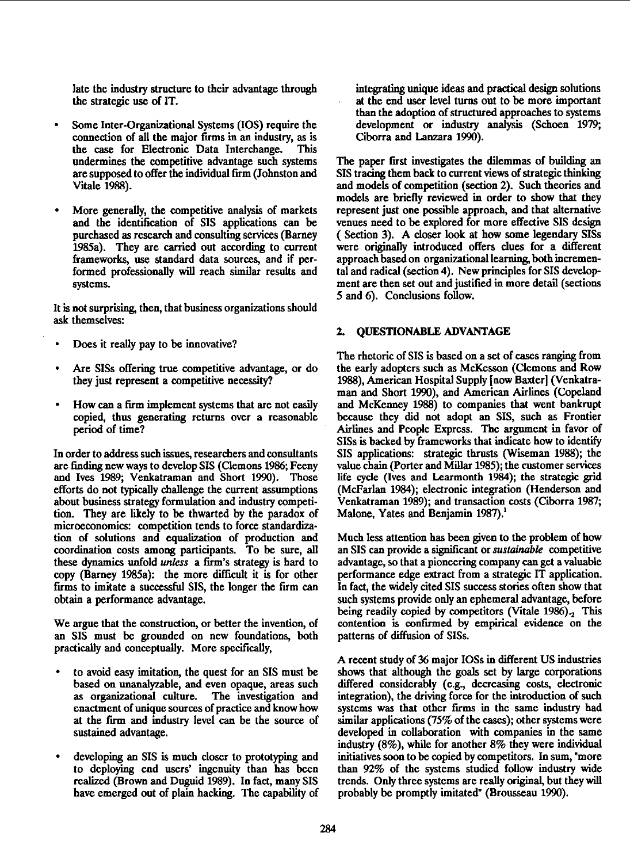- Some Inter-Organizational Systems (IOS) require the development or industry connection of all the major firms in an industry, as is Ciborra and Lanzara 1990). connection of all the major firms in an industry, as is the case for Electronic Data Interchange. This are supposed to offer the individual firm (Johnston and Vitale 1988).
- and the identification of SIS applications can be purchased as research and consulting services (Barney

It is not surprising, then, that business organizations should ask themselves:

- Does it really pay to be innovative?
- 
- 

In order to address such issues, researchers and consultants SIS applications: strategic thrusts (Wiseman 1988); the are finding new ways to develop SIS (Clemons 1986; Feeny value chain (Porter and Millar 1985); the custom are finding new ways to develop SIS (Clemons 1986; Feeny value chain (Porter and Millar 1985); the customer services and Ives 1989; Venkatraman and Short 1990). Those life cycle (Ives and Learmonth 1984); the strategic gri efforts do not typically challenge the current assumptions (McFarlan 1984); electronic integration (Henderson and about business strategy formulation and industry competi-<br>Venkatraman 1989); and transaction costs (Ciborra about business strategy formulation and industry competi-<br>
ion. They are likely to be thwarted by the paradox of Malone, Yates and Benjamin 1987).<sup>1</sup> tion. They are likely to be thwarted by the paradox of microeconomics: competition tends to force standardiza-<br>tion of solutions and equalization of production and coordination costs among participants. To be sure, all these dynamics unfold *unless* a firm's strategy is hard to copy (Barney 1985a): the more difficult it is for other performance edge extract from a strategic IT application.<br>
firms to imitate a successful SIS, the longer the firm can In fact, the widely cited SIS success stories of firms to imitate a successful SIS, the longer the firm can In fact, the widely cited SIS success stories often show that

We argue that the construction, or better the invention, of contention is confirmed by empirical evidence on the an SIS must be grounded on new foundations, both patterns of diffusion of SISs. an SIS must be grounded on new foundations, both practically and conceptually. More specifically,

- 
- realized (Brown and Duguid 1989). In fact, many SIS trends. Only three systems are really original, but the have emerged out of plain hacking. The capability of probably be promptly imitated" (Brousseau 1990). have emerged out of plain hacking. The capability of

late the industry structure to their advantage through integrating unique ideas and practical design solutions the strategic use of IT. at the end user level turns out to be more important than the adoption of structured approaches to systems development or industry analysis (Schoen 1979;

undermines the competitive advantage such systems The paper first investigates the dilemmas of building an are supposed to offer the individual firm (Johnston and SIS tracing them back to current views of strategic thinkin and models of competition (section 2). Such theories and models are briefly reviewed in order to show that they More generally, the competitive analysis of markets represent just one possible approach, and that alternative and the identification of SIS applications can be venues need to be explored for more effective SIS design (Section 3). A closer look at how some legendary SISs 1985a). They are carried out according to current were originally introduced offers clues for a different frameworks, use standard data sources, and if per-<br>formed professionally will reach similar results and tal and radical (section 4). New principles for SIS developformed professionally will reach similar results and tal and radical (section 4). New principles for SIS develop-<br>ment are then set out and justified in more detail (sections ment are then set out and justified in more detail (sections 5 and 6). Conclusions follow.

### 2. QUESTIONABLE ADVANTAGE

The rhetoric of SIS is based on a set of cases ranging from • Are SISs offering true competitive advantage, or do the early adopters such as McKesson (Clemons and Row they just represent a competitive necessity? 1988), American Hospital Supply [now Baxter] (Venkatraman and Short 1990), and American Airlines (Copeland • How can a firm implement systems that are not easily and McKenney 1988) to companies that went bankrupt copied, thus generating returns over <sup>a</sup> reasonable because they did not adopt an SIS, such as Frontier Airlines and People Express. The argument in favor of SISs is backed by frameworks that indicate how to identify life cycle (Ives and Learmonth 1984); the strategic grid

> Much less attention has been given to the problem of how<br>an SIS can provide a significant or *sustainable* competitive advantage, so that a pioneering company can get a valuable such systems provide only an ephemeral advantage, before being readily copied by competitors (Vitale  $1986$ ).<sub>2</sub> This

A recent study of 36 major IOSs in different US industries to avoid easy imitation, the quest for an SIS must be shows that although the goals set by large corporations based on unanalyzable, and even opaque, areas such differed considerably (e.g., decreasing costs, electronic differed considerably (e.g., decreasing costs, electronic as organizational culture. The investigation and integration), the driving force for the introduction of such enactment of unique sources of practice and know how systems was that other firms in the same industry had at the firm and industry level can be the source of similar applications (75% of the cases); other systems were at the firm and industry level can be the source of similar applications (75% of the cases); other systems were<br>sustained advantage.<br> $\frac{1}{2}$ developed in collaboration with companies in the same industry (8%), while for another 8% they were individual developing an SIS is much closer to prototyping and initiatives soon to be copied by competitors. In sum, "more to deploying end users' ingenuity than has been than 92% of the systems studied follow industry wide<br>realized (Brown and Duguid 1989). In fact, many SIS trends. Only three systems are really original, but they will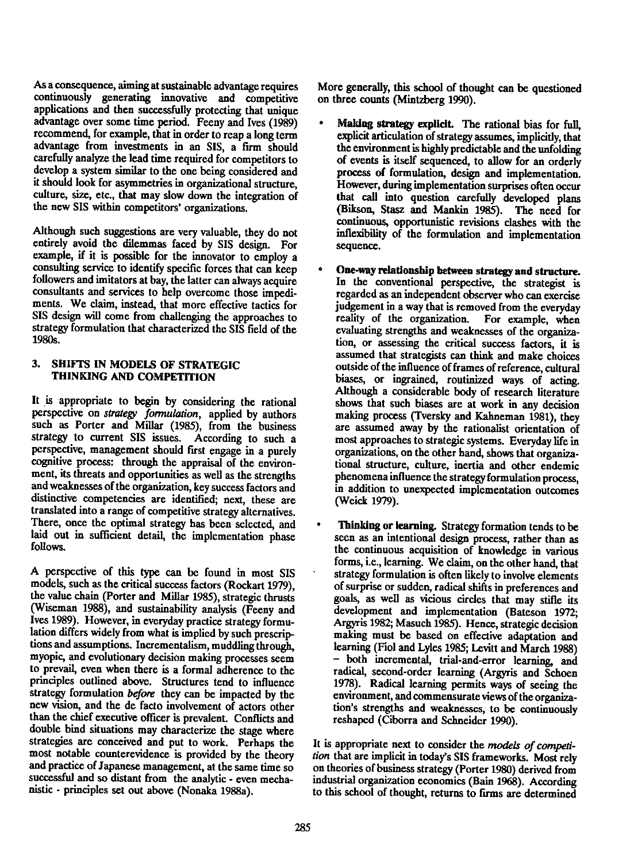As a consequence, aiming at sustainable advantage requires More generally, this school of thought can be questioned continuously generating innovative and competitive on three counts (Mintzberg 1990). continuously generating innovative and competitive applications and then successfully protecting that unique advantage over some time period. Feeny and Ives (1989) advantage over some time period. Feeny and Ives (1989) . Making strategy explicit. The rational bias for full, recommend, for example, that in order to reap a long term explicit articulation of strategy assumes, implicitly recommend, for example, that in order to reap a long term explicit articulation of strategy assumes, implicitly, that advantage from investments in an SIS, a firm should the environment is bighty predictable and the unfold advantage from investments in an SIS, a firm should<br>carefully analyze the lead time required for competitors to of events is itself sequenced, to allow for an orderly<br>develop a system similar to the one being considered an it should look for asymmetries in organizational structure, However, during implementation surprises often occur culture, size, etc., that may slow down the integration of that call into question carefully developed plans the new SIS within competitors' organizations. (Bikson, Stasz and Mankin 1985). The need for

Although such suggestions are very valuable, they do not inflexibility of the formulation and implementation entirely avoid the dilemmas faced by SIS design. For sequence. entirely avoid the dilemmas faced by SIS design. For example, if it is possible for the innovator to employ a consulting service to identify specific forces that can keep consulting service to identify specific forces that can keep • One-way relationship between strategy and structure.<br>
followers and imitators at bay, the latter can always acquire In the conventional perspective, the strate followers and imitators at bay, the latter can always acquire In the conventional perspective, the strategist is consultants and services to help overcome those impedi-<br>
regarded as an independent observer who can exercise ments. We claim, instead, that more effective tactics for judgement in a way that is removed from the everyday<br>SIS design will come from challenging the approaches to reality of the organization. For example, when

It is appropriate to begin by considering the rational shows that such biases are at work in any decision perspective on *strategy formulation*, applied by authors making process (Tversky and Kahneman 1981), they perspective on *strategy formulation*, applied by authors making process (Tversky and Kahneman 1981), they such as Porter and Millar (1985), from the business are assumed away by the rationalist orientation of strategy to current SIS issues. According to such a perspective, management should first engage in a purely cognitive process: through the appraisal of the environ-<br>ment, its threats and opportunities as well as the strengths ment, its threats and opportunities as well as the strengths phenomena influence the strategy formulation process,<br>and weaknesses of the organization, key success factors and in addition to unexpected implementation outcom distinctive competencies are identified; next, these are translated into <sup>a</sup> range of competitive strategy alternatives.

A perspective of this type can be found in most SIS strategy formulation is often likely to involve elements<br>models, such as the critical success factors (Rockart 1979), of surprise or sudden, radical shifts in preferences (Wiseman 1988), and sustainability analysis (Feeny and<br>Ives 1989). However, in everyday practice strategy formulation<br>Iation differs widely from what is implied by such prescrip-<br>Iation and assumptions. Incrementalism, mud tions and assumptions. Incrementalism, muddling through, myopic, and evolutionary decision making processes seem to prevail, even when there is a formal adherence to the principles outlined above. Structures tend to influence principles outlined above. Structures tend to influence 1978). Radical learning permits ways of seeing the strategy formulation *before* they can be impacted by the environment, and commensurate views of the organizastrategy formulation *before* they can be impacted by the environment, and commensurate views of the organiza-<br>new vision, and the de facto involvement of actors other tion's strengths and weaknesses, to be continuously than the chief executive officer is prevalent. Conflicts and double bind situations may characterize the stage where strategies are conceived and put to work. Perhaps the strategies are conceived and put to work. Perhaps the It is appropriate next to consider the models of competi-<br>most notable counterevidence is provided by the theory *tion* that are implicit in today's SIS frameworks. Mos most notable counterevidence is provided by the theory *tion* that are implicit in today's SIS frameworks. Most rely and practice of Japanese management, at the same time so on theories of business strategy (Porter 1980) d and practice of Japanese management, at the same time so on theories of business strategy (Porter 1980) derived from<br>successful and so distant from the analytic - even mecha-<br>industrial organization economics (Bain 1968). successful and so distant from the analytic - even mecha-<br>nistic - principles set out above (Nonaka 1988a). to this school of thought, returns to firms are determined

- process of formulation, design and implementation. (Bikson Stasz and Mankin 1985). The need for continuous opportunistic revisions clashes with the
- regarded as an independent observer who can exercise strategy formulation that characterized the SIS field of the evaluating strengths and weaknesses of the organiza-<br>1980s. assumed that strategists can think and make choices 3. SHIFTS IN MODELS OF STRATEGIC<br>
THINKING AND COMPETITION<br>
biases or ingrained routinized ways of acting biases, or ingrained, routinized ways of acting. Although a considerable body of research literature are assumed away by the rationalist orientation of most approaches to strategic systems. Everyday life in organizations, on the other hand, shows that organizational structure, culture, inertia and other endemic in addition to unexpected implementation outcomes<br>(Weick 1979).
- There, once the optimal strategy has been selected, and<br>laid out in sufficient detail, the implementation phase<br>follows.<br>the continuous acquisition of knowledge in various forms, i.e., learning. We claim, on the other hand, that - both incremental, trial-and-error learning, and radical, second-order learning (Argyris and Schoen tion's strengths and weaknesses, to be continuously reshaped (Ciborra and Schneider 1990).

to this school of thought, returns to firms are determined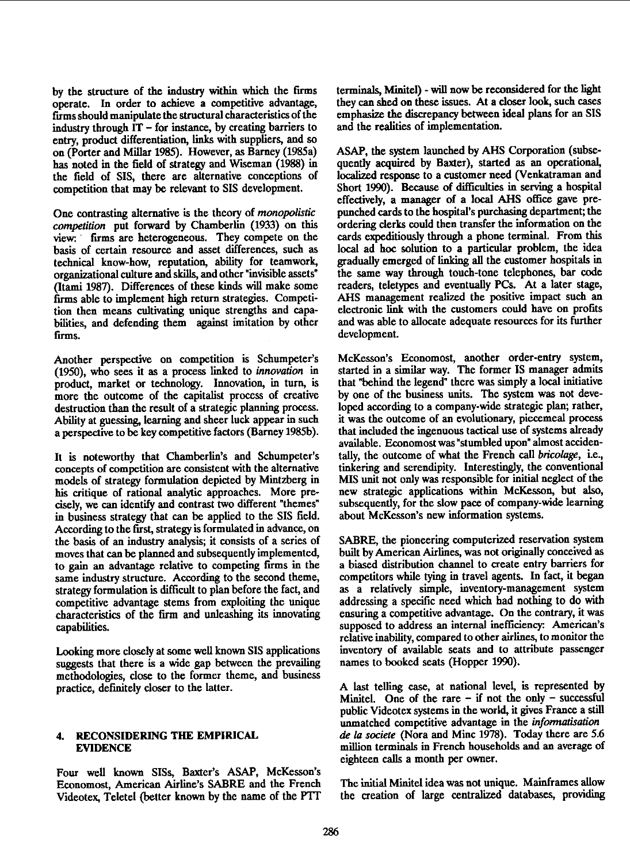operate. In order to achieve a competitive advantage, they can shed on these issues. At a closer look, such cases<br>firms should manipulate the structural characteristics of the emphasize the discrepancy between ideal plans firms should manipulate the structural characteristics of the emphasize the discrepancy between industry through  $IT -$  for instance, by creating barriers to and the realities of implementation. industry through  $IT$  – for instance, by creating barriers to entry, product differentiation, links with suppliers, and so on (Porter and Millar 1985). However, as Barney (1985a) ASAP, the system launched by AHS Corporation (subse-<br>has noted in the field of strategy and Wiseman (1988) in quently acquired by Baxter), started as an operational, has noted in the field of strategy and Wiseman (1988) in quently acquired by Baxter), started as an operational, the field of SIS, there are alternative conceptions of localized response to a customer need (Venkatraman and the field of SIS, there are alternative conceptions of competition that may be relevant to SIS development.

competition put forward by Chamberlin (1933) on this ordering clerks could then transfer the information on the<br>view: firms are heterogeneous. They compete on the cards expeditiously through a phone terminal. From this view: firms are heterogeneous. They compete on the cards expeditiously through a phone terminal. From this basis of certain resource and asset differences, such as local ad hoc solution to a particular problem, the idea basis of certain resource and asset differences, such as local ad hoc solution to a particular problem, the idea technical know-how, reputation, ability for teamwork, gradually emerged of linking all the customer hospitals in organizational culture and skills, and other "invisible assets" the same way through touch-tone telephones, bar code (Itami 1987). Differences of these kinds will make some readers, teletypes and eventually PCs. At a later stage,<br>firms able to implement high return strategies. Competi-<br>AHS management realized the positive impact such an firms able to implement high return strategies. Competi- AHS management realized the positive impact such an tion then means cultivating unique strengths and capa-<br>bilities, and defending them against imitation by other and was able to allocate adequate resources for its further bilities, and defending them against imitation by other firms.

(1950), who sees it as a process linked to *innovation* in started in a similar way. The former IS manager admits<br>product, market or technology. Innovation, in turn, is that "behind the legend" there was simply a local ini product, market or technology. Innovation, in turn, is that "behind the legend" there was simply a local initiative<br>more the outcome of the capitalist process of creative by one of the business units. The system was not de more the outcome of the capitalist process of creative destruction than the result of a strategic planning process. Ability at guessing, learning and sheer luck appear in such it was the outcome of an evolutionary, piecemeal process<br>a perspective to be key competitive factors (Barney 1985b). In that included the ingenuous tactical use o a perspective to be key competitive factors (Barney 1985b).

It is noteworthy that Chamberlin's and Schumpeter's tally, the outcome of what the French call bricolage, i.e., concepts of competition are consistent with the alternative tinkering and serendipity. Interestingly, the conv concepts of competition are consistent with the alternative tinkering and serendipity. Interestingly, the conventional models of strategy formulation depicted by Mintzberg in MIS unit not only was responsible for initial neglect of the<br>his critique of rational analytic approaches. More pre- new strategic applications within McKesson, but a his critique of rational analytic approaches. More pre-<br>cisely, we can identify and contrast two different "themes" subsequently, for the slow pace of company-wide learning cisely, we can identify and contrast two different "themes" subsequently, for the slow pace of company-v<br>in business strategy that can be applied to the SIS field. about McKesson's new information systems. in business strategy that can be applied to the SIS field. According to the first, strategy is formulated in advance, on the basis of an industry analysis; it consists of a series of SABRE, the pioneering computerized reservation system<br>moves that can be planned and subsequently implemented, built by American Airlines, was not originally con moves that can be planned and subsequently implemented, built by American Airlines, was not originally conceived as<br>to gain an advantage relative to competing firms in the a biased distribution channel to create entry barr to gain an advantage relative to competing firms in the same industry structure. According to the second theme, competitors while tying in travel agents. In fact, it began strategy formulation is difficult to plan before the fact, and as a relatively simple, inventory-management system<br>competitive advantage stems from exploiting the unique addressing a specific need which had nothing to do w characteristics of the firm and unleashing its innovating capabilities. supposed to address an internal inefficiency: American's

Looking more closely at some well known SIS applications inventory of available seats and to at suggests that there is a wide gap between the prevailing names to booked seats (Hopper 1990). suggests that there is a wide gap between the prevailing methodologies, close to the former theme, and business practice, definitely closer to the latter.

Four well known SISs, Baxter's ASAP, McKesson's Economost, American Airline's SABRE and the French The initial Minitel idea was not unique. Mainframes allow Videotex, Teletel (better known by the name of the PTT

by the structure of the industry within which the firms terminals, Minitel) - will now be reconsidered for the light operate. In order to achieve a competitive advantage, they can shed on these issues. At a closer look, su

Short 1990). Because of difficulties in serving a hospital effectively, <sup>a</sup> manager of <sup>a</sup> local AHS office gave pre-One contrasting alternative is the theory of monopolistic punched cards to the hospital's purchasing department; the competition put forward by Chamberlin (1933) on this ordering clerks could then transfer the information development.

Another perspective on competition is Schumpeter's McKesson's Economost, another order-entry system,<br>(1950) who sees it as a process linked to *innovation* in started in a similar way. The former IS manager admits loped according to a company-wide strategic plan; rather, it was the outcome of an evolutionary, piecemeal process. available. Economost was"stumbled upon" almost acciden-

> addressing a specific need which had nothing to do with ensuring a competitive advantage. On the contrary, it was relative inability, compared to other airlines, to monitor the inventory of available seats and to attribute passenger

A last telling case, at national level, is represented by Minitel. One of the rare  $-$  if not the only  $-$  successful public Videotex systems in the world, it gives France a still unmatched competitive advantage in the informatisation 4. RECONSIDERING THE EMPIRICAL de la societe (Nora and Minc 1978). Today there are 5.6 EVIDENCE million terminals in French households and an average of eighteen calls a month per owner.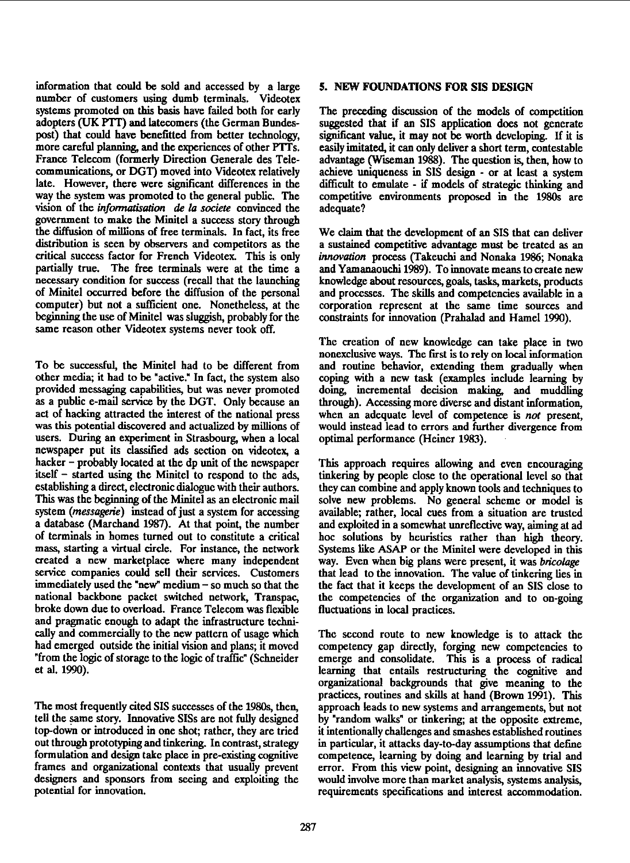information that could be sold and accessed by a large 5. NEW FOUNDATIONS FOR SIS DESIGN number of customers using dumb terminals. Videotex systems promoted on this basis have failed both for early The preceding discussion of the models of competition adopters (UK PTT) and latecomers (the German Bundes-<br>suggested that if an SIS application does not generate adopters (UK PTT) and latecomers (the German Bundes-<br>post) that could have benefitted from better technology, significant value, it may not be worth developing. If it is post) that could have benefitted from better technology, more careful planning, and the experiences of other PTTs. more careful planning, and the experiences of other PTTs. easily imitated, it can only deliver a short term, contestable<br>France Telecom (formerly Direction Generale des Tele-advantage (Wiseman 1988). The question is, then, France Telecom (formerly Direction Generale des Tele-<br>
communications, or DGT) moved into Videotex relatively<br>
achieve uniqueness in SIS design - or at least a system communications, or DGT) moved into Videotex relatively achieve uniqueness in SIS design - or at least a system late. However, there were significant differences in the difficult to emulate - if models of strategic thinking and way the system was promoted to the general public. The competitive environments proposed in the 1980s are vision of the informatisation de la societe convinced the government to make the Minitel <sup>a</sup> success story through distribution is seen by observers and competitors as the critical success factor for French Videotex. This is only critical success factor for French Videotex. This is only *innovation* process (Takeuchi and Nonaka 1986; Nonaka partially true. The free terminals were at the time a and Yamanaouchi 1989). To innovate means to create new necessary condition for success (recall that the launching knowledge about resources, goals, tasks, markets, products of Minitel occurred before the diffusion of the personal and processes. The skills and competencies avai of Minitel occurred before the diffusion of the personal computer) but not a sufficient one. Nonetheless, at the computer) but not a sufficient one. Nonetheless, at the corporation represent at the same time sources and beginning the use of Minitel was sluggish, probably for the constraints for innovation (Prahalad and Hamel 1990). same reason other Videotex systems never took off.

To be successful, the Minitel had to be different from and routine behavior, extending them gradually when other media; it had to be "active." In fact, the system also coping with a new task (examples include learning by other media; it had to be "active." In fact, the system also coping with a new task (examples include learning by provided messaging capabilities, but was never promoted doing, incremental decision making, and muddling as a public e-mail service by the DGT. Only because an through). Accessing more diverse and distant information, act of hacking attracted the interest of the national press when an adequate level of competence is not prese act of hacking attracted the interest of the national press was this potential discovered and actualized by millions of users. During an experiment in Strasbourg, when a local newspaper put its classified ads section on videotex, a hacker – probably located at the dp unit of the newspaper This approach requires allowing and even encouraging itself – started using the Minitel to respond to the ads, tinkering by people close to the operational level so itself - started using the Minitel to respond to the ads, tinkering by people close to the operational level so that establishing a direct, electronic dialogue with their authors. they can combine and apply known tools and establishing a direct, electronic dialogue with their authors. they can combine and apply known tools and techniques to<br>This was the beginning of the Minitel as an electronic mail solve new problems. No general scheme or m This was the beginning of the Minitel as an electronic mail solve new problems. No general scheme or model is system (*messagerie*) instead of just a system for accessing available: rather, local cues from a situation are system (messagerie) instead of just a system for accessing available; rather, local cues from a situation are trusted<br>a database (Marchand 1987). At that point, the number and exploited in a somewhat unreflective way, aimi a database (Marchand 1987). At that point, the number and exploited in a somewhat unreflective way, aiming at ad of terminals in homes turned out to constitute a critical hoc solutions by heuristics rather than high theory mass, starting a virtual circle. For instance, the network created a new marketplace where many independent way. Even when big plans were present, it was *bricolage* service companies could sell their services. Customers that lead to the innovation. The value of tinkering lies in service companies could sell their services. Customers that lead to the innovation. The value of tinkering lies in immediately used the "new" medium – so much so that the the fact that it keeps the development of an SIS cl immediately used the "new" medium - so much so that the the fact that it keeps the development of an SIS close to national backbone packet switched network. Transpac, the competencies of the organization and to on-going broke down due to overload. France Telecom was flexible and pragmatic enough to adapt the infrastructure technically and commercially to the new pattern of usage which cally and commercially to the new pattern of usage which The second route to new knowledge is to attack the had emerged outside the initial vision and plans; it moved competency gap directly, forging new competencies to had emerged outside the initial vision and plans; it moved competency gap directly, forging new competencies to<br>"from the logic of storage to the logic of traffic" (Schneider emerge and consolidate. This is a process of ra "from the logic of storage to the logic of traffic" (Schneider emerge and consolidate. This is a process of radical

The most frequently cited SIS successes of the 1980s, then, approach leads to new systems and arrangements, but not tell the same story. Innovative SISs are not fully designed by "random walks" or tinkering; at the opposit tell the same story. Innovative SISs are not fully designed by "random walks" or tinkering; at the opposite extreme, top-down or introduced in one shot; rather, they are tried it intentionally challenges and smashes establ top-down or introduced in one shot; rather, they are tried it intentionally challenges and smashes established routines<br>out through prototyping and tinkering. In contrast, strategy in particular, it attacks day-to-day assu out through prototyping and tinkering. In contrast, strategy in particular, it attacks day-to-day assumptions that define<br>formulation and design take place in pre-existing cognitive competence, learning by doing and learni formulation and design take place in pre-existing cognitive competence, learning by doing and learning by trial and designers and sponsors from seeing and exploiting the would involve more than market analysis, systems analysis, potential for innovation.<br>
requirements specifications and interest accommodation.

competitive environments proposed in the 1980s are adequate?

We claim that the development of an SIS that can deliver<br>a sustained competitive advantage must be treated as an and Yamanaouchi 1989). To innovate means to create new<br>knowledge about resources, goals, tasks, markets, products constraints for innovation (Prahalad and Hamel 1990).

The creation of new knowledge can take place in two nonexclusive ways. The first is to rely on local information doing, incremental decision making, and muddling through). Accessing more diverse and distant information. would instead lead to errors and further divergence from<br>optimal performance (Heiner 1983).

hoc solutions by heuristics rather than high theory.<br>Systems like ASAP or the Minitel were developed in this the competencies of the organization and to on-going fluctuations in local practices.

learning that entails restructuring the cognitive and organizational backgrounds that give meaning to the practices, routines and skills at hand (Brown 1991). This error. From this view point, designing an innovative SIS requirements specifications and interest accommodation.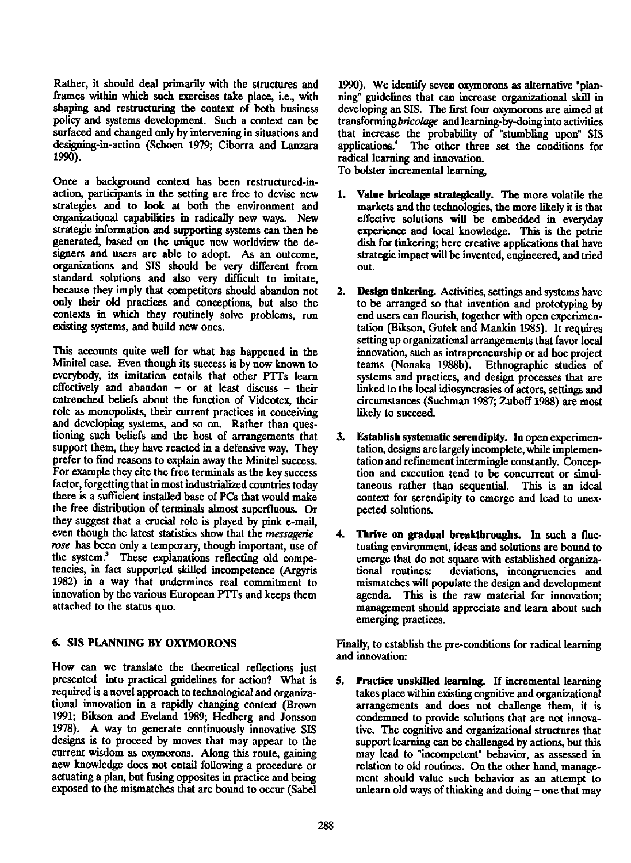Rather, it should deal primarily with the structures and 1990). We identify seven oxymorons as alternative "plan-<br>frames within which such exercises take place, i.e., with ning" guidelines that can increase organizational shaping and restructuring the context of both business policy and systems development. Such a context can be policy and systems development. Such a context can be transforming *bricolage* and learning-by-doing into activities surfaced and changed only by intervening in situations and that increase the probability of "stumbling up surfaced and changed only by intervening in situations and that increase the probability of "stumbling upon" SIS<br>designing-in-action (Schoen 1979; Ciborra and Lanzara applications.<sup>4</sup> The other three set the conditions for designing-in-action (Schoen 1979; Ciborra and Lanzara applications.<sup>4</sup> The other three set the conditions for 1990).

Once a background context has been restructured-in-<br>action, participants in the setting are free to devise new strategies and to look at both the environment and organizational capabilities in radically new ways. New effective solutions will be embedded in everyday strategic information and supporting systems can then be experience and local knowledge. This is the petrie generated, based on the unique new worldview the de-<br>signers and users are able to adopt. As an outcome, strategic impact will be invented, engineered, and tried signers and users are able to adopt. As an outcome, strategic impact strategic impact with the inventory and tried, engineered, and tried, and tried, and tried, and tried, and tried, and tried, and tried, and tried, and tr organizations and SIS should be very different from standard solutions and also very difficult to imitate, because they imply that competitors should abandon not 2. Design tinkering. Activities, settings and systems have<br>only their old practices and conceptions, but also the to be arranged so that invention and prototyping by only their old practices and conceptions, but also the to be arranged so that invention and prototyping by contexts in which they routinely solve problems, run end users can flourish together with open experimencontexts in which they routinely solve problems, run end users can flourish, together with open experimen-<br>existing systems, and build new ones.<br>tation (Bikson, Gutek and Mankin 1985). It requires

This accounts quite well for what has happened in the innovation, such as intrapreneurship or ad hoc project Minitel case. Even though its success is by now known to teams (Nonaka 1988b). Ethnographic studies of everybody, its imitation entails that other PTTs learn systems and practices, and design processes that are effectively and abandon - or at least discuss - their linked to the local idiosyncrasies of actors, settings and entrenched beliefs about the function of Videotex, their circumstances (Suchman 1987; Zuboff 1988) are most entrenched beliefs about the function of Videotex, their role as monopolists, their current practices in conceiving likely to succeed. and developing systems, and so on. Rather than questioning such beliefs and the host of arrangements that 3. Establish systematic serendipity. In open experimen-<br>support them, they have reacted in a defensive way. They tation, designs are largely incomplete, while implemen support them, they have reacted in a defensive way. They tation, designs are largely incomplete, while implemen-<br>prefer to find reasons to explain away the Minitel success. The tation and refinement intermingle constantly. prefer to find reasons to explain away the Minitel success. tation and refinement intermingle constantly. Concep-<br>For example they cite the free terminals as the key success tion and execution tend to be concurrent or simu factor, forgetting that in most industrialized countries today there is a sufficient installed base of PCs that would make the free distribution of terminals almost superfluous. Or they suggest that a crucial role is played by pink e-mail, even though the latest statistics show that the *messagerie* rose has been only a temporary, though important, use of tuating environment, ideas and solutions are bound to the system.<sup>3</sup> These explanations reflecting old compe-<br>energe that do not square with established organizathe system.<sup>3</sup> These explanations reflecting old compe-<br>tencies, in fact supported skilled incompetence (Argyris tional routines: deviations, incongruencies and tencies, in fact supported skilled incompetence (Argyris tional routines: deviations, incongruencies and 1982) in a way that undermines real commitment to mismatches will populate the design and development 1982) in a way that undermines real commitment to innovation by the various European PTTs and keeps them agenda. This is the raw material for innovation;<br>attached to the status quo. management should appreciate and learn about such

How can we translate the theoretical reflections just presented into practical guidelines for action? What is 5. Practice unskilled learning. If incremental learning required is a novel approach to technological and organiza-<br>takes place within existing cognitive and organiza tional innovation in a rapidly changing context (Brown arrangements and does not challenge them, it is 1991; Bikson and Eveland 1989; Hedberg and Jonsson 1978). A way to generate continuously innovative SIS designs is to proceed by moves that may appear to the current wisdom as oxymorons. Along this route, gaining current wisdom as oxymorons. Along this route, gaining may lead to "incompetent" behavior, as assessed in actuating <sup>a</sup> plan, but fusing opposites in practice and being ment should value such behavior as an attempt to exposed to the mismatches that are bound to occur (Sabel unlearn old ways of thinking and doing - one that may

ning" guidelines that can increase organizational skill in developing an SIS. The first four oxymorons are aimed at radical learning and innovation. To bolster incremental learning

- 1. Value bricolage strategically. The more volatile the markets and the technologies, the more likely it is that experience and local knowledge. This is the petrie dish for tinkering; here creative applications that have
- tation (Bikson, Gutek and Mankin 1985). It requires. setting up organizational arrangements that favor local systems and practices, and design processes that are linked to the local idiosyncrasies of actors, settings and
- tion and execution tend to be concurrent or simultaneous rather than sequential. This is an ideal context for serendipity to emerge and lead to unex-<br>pected solutions.
- 4. Thrive on gradual breakthroughs. In such a flucmanagement should appreciate and learn about such emerging practices.

6. SIS PLANNING BY OXYMORONS Finally, to establish the pre-conditions for radical learning and innovation:

> takes place within existing cognitive and organizational arrangements and does not challenge them, it is tive. The cognitive and organizational structures that support learning can be challenged by actions, but this relation to old routines. On the other hand, manage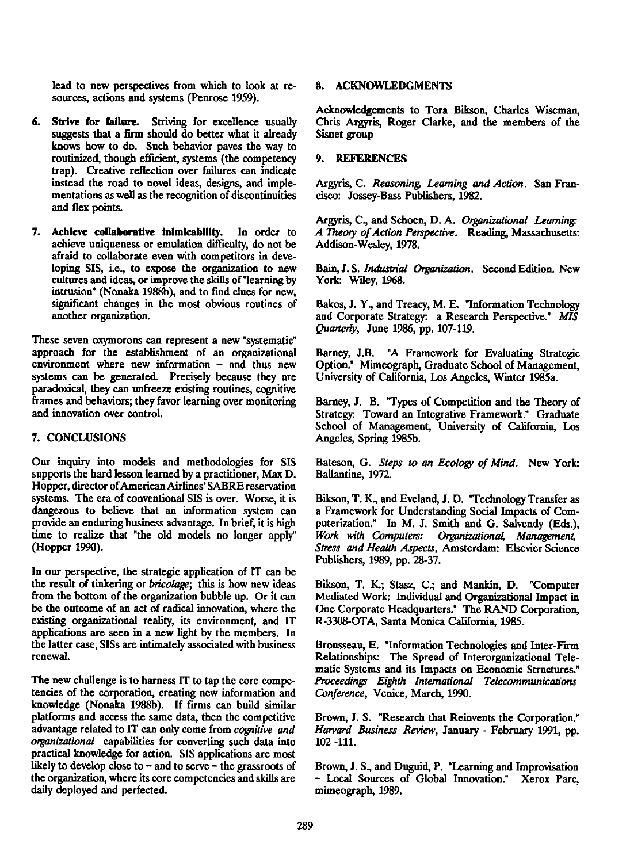lead to new perspectives from which to look at re- 8. ACKNOWLEDGMENTS sources, actions and systems (Penrose 1959).

- 6. Strive for failure. Striving for excellence usually Chris Argyris, suggests that a firm should do better what it already Sisnet group suggests that a firm should do better what it already knows how to do. Such behavior paves the way to routinized, though efficient, systems (the competency 9. REFERENCES trap). Creative reflection over failures can indicate mentations as well as the recognition of discontinuities and flex points.
- 7. Achieve collaborative inimicability. In order to  $A$  *Theory of Action Perspective.* Reading, Massachusetts: achieve uniqueness or emulation difficulty, do not be Addison-Wesley, 1978. achieve uniqueness or emulation difficulty, do not be afraid to collaborate even with competitors in developing SIS, i.e., to expose the organization to new cultures and ideas, or improve the skills of "learning by intrusion" (Nonaka 1988b), and to find clues for new, significant changes in the most obvious routines of

These seven oxymorons can represent a new "systematic" approach for the establishment of an organizational Barney, J.B. "A Framework for Evaluating Strategic environment where new information  $-$  and thus new systems can be generated. Precisely because they are paradoxical, they can unfreeze existing routines, cognitive frames and behaviors; they favor learning over monitoring Barney, J. B. Types of Competition and the Theory of

Our inquiry into models and methodologies for SIS Bateson, G. Steps to an Ecology of Mind. New York:<br>supports the hard lesson learned by a practitioner, Max D. Ballantine, 1972. supports the hard lesson learned by a practitioner, Max D. Hopper, director of American Airlines' SABRE reservation systems. The era of conventional SIS is over. Worse, it is Bikson, T. K., and Eveland, J. D. "Technology Transfer as dangerous to believe that an information system can a Framework for Understanding Social Impacts of Comprovide an enduring business advantage. In brief, it is high puterization." In M. J. Smith and G. Salvendy (Eds.), time to realize that "the old models no longer apply" *Work with Computers: Organizational, Management*,<br>(Hopper 1990). (Hopper 1990).

In our perspective, the strategic application of IT can be the result of tinkering or *bricolage*; this is how new ideas Bikson, T. K.; Stasz, C.; and Mankin, D. "Computer from the bottom of the organization bubble up. Or it can Mediated Work: Individual and Organizational Impact from the bottom of the organization bubble up. Or it can Mediated Work: Individual and Organizational Impact in<br>be the outcome of an act of radical innovation, where the One Corporate Headquarters." The RAND Corporation. existing organizational reality, its environment, and IT applications are seen in a new light by the members. In the latter case, SISs are intimately associated with business the latter case, SISs are intimately associated with business Brousseau, E. "Information Technologies and Inter-Firm

The new challenge is to harness IT to tap the core compe-<br>tencies of the corporation, creating new information and Conference, Venice, March, 1990. tencies of the corporation, creating new information and knowledge (Nonaka 1988b). If firms can build similar platforms and access the same data, then the competitive platforms and access the same data, then the competitive Brown, J. S. "Research that Reinvents the Corporation."<br>advantage related to IT can only come from *cognitive and Harvard Business Review*, January - February 1991, organizational capabilities for converting such data into practical knowledge for action. SIS applications are most<br>likely to develop close to  $-\text{ and }$  to serve  $-\text{ the gressroots}$  of likely to develop close to - and to serve - the grassroots of Brown, J. S., and Duguid, P. "Learning and Improvisation the organization, where its core competencies and skills are  $\sim$  Local Sources of Global Innovation." daily deployed and perfected. The mimeograph, 1989.

Acknowledgements to Tora Bikson, Charles Wiseman

instead the road to novel ideas, designs, and imple-<br>mentations as well as the recognition of discontinuities cisco: Jossey-Bass Publishers, 1982.

Argyris, C., and Schoen, D. A. Organizational Learning:

Bain, J. S. Industrial Organization. Second Edition. New York: Wiley, 1968.

significant changes in the most obvious routines of Bakos, J. Y., and Treacy, M. E. "Information Technology another organization.<br>and Corporate Strategy: a Research Perspective." MIS and Corporate Strategy: a Research Perspective." MIS Quarterly, June 1986, pp. 107-119.

University of California, Los Angeles, Winter 1985a.

Strategy. Toward an Integrative Framework." Graduate School of Management, University of California, Los 7. CONCLUSIONS Angeles, Spring 1985b.

a Framework for Understanding Social Impacts of Com-Stress and Health Aspects, Amsterdam: Elsevier Science Publishers, 1989, pp. 28-37.

One Corporate Headquarters." The RAND Corporation, R-3308-OTA, Santa Monica California, 1985.

Relationships: The Spread of Interorganizational Telematic Systems and its Impacts on Economic Structures."

Harvard Business Review, January - February 1991, pp.<br>102 -111.

- Local Sources of Global Innovation." Xerox Parc,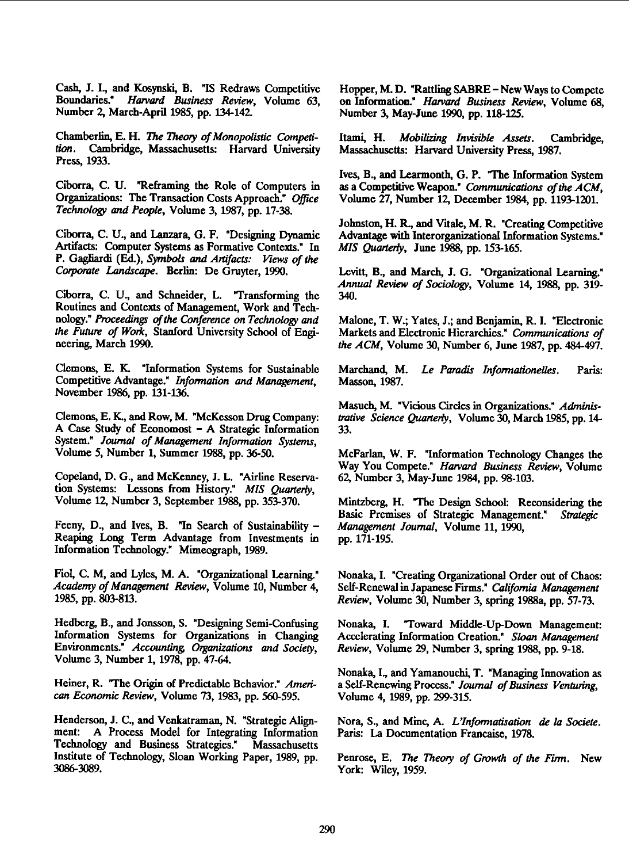Cash, J. I., and Kosynski, B. "IS Redraws Competitive Hopper, M. D. "Rattling SABRE – New Ways to Compete Boundaries." Harvard Business Review, Volume 68, Number 2, March-April 1985, pp. 134-142.

Chamberlin, E. H. *The Theory of Monopolistic Competi*- Itami, H. *Mobilizing Invisible Assets.* Cambridge, iton. Cambridge, Massachusetts: Harvard University Massachusetts. Tharvard University Press, 1987. tion. Cambridge, Massachusetts: Harvard University Press, 1933.

Organizations: The Transaction Costs Approach." Office Technology and People, Volume 3, 1987, pp. 17-38.

Artifacts: Computer Systems as Formative Contexts." In P. Gagliardi (Ed.), Symbols and Artifacts: Views of the Corporate Landscape. Berlin: De Gruyter, 1990.

Ciborra, C. U., and Schneider, L. "Transforming the Routines and Contexts of Management, Work and Technology." Proceedings of the Conference on Technology and nology." Proceedings of the Conference on Technology and Malone, T. W.; Yates, J.; and Benjamin, R. I. "Electronic<br>the Future of Work, Stanford University School of Engi-Markets and Electronic Hierarchies." Communications the Future of Work, Stanford University School of Engi-<br>neering, March 1990.<br>the ACM, Volume 30, Number 6, June 1987, pp. 484-497.

Clemons, E. K. "Information Systems for Sustainable Marchand, M. Le Paradis Informationelles. Paris:<br>Competitive Advantage." Information and Management, Masson, 1987. Competitive Advantage." Information and Management, November 1986, pp. 131-136.

A Case Study of Economost - A Strategic Information System." Journal of Management Information Systems, Volume 5, Number 1, Summer 1988, pp. 36-50.

Copeland, D. G., and McKenney, J. L. "Airline Reserva- 62, Number 3, May-June 1984, pp. 98-103. tion Systems: Lessons from History." MIS Quarterly, Volume 12, Number 3, September 1988, pp. 353-370. Mintzberg, H. "The Design School: Reconsidering the

Feeny, D., and Ives, B. "In Search of Sustainability - Management Journal, Volume 11, 1990, Reaping Long Term Advantage from Investments in pp. 171-195. Information Technology: Mimeograph, 1989.

Fiol, C. M, and Lyles, M. A. "Organizational Learning." Nonaka, I. "Creating Organizational Order out of Chaos:<br>Academy of Management Review, Volume 10, Number 4, Self-Renewal in Japanese Firms." California Management Academy of Management Review, Volume 10, Number 4, Self-Renewal in Japanese Firms." California Management 1985, pp. 803-813.

Hedberg, B., and Jonsson, S. "Designing Semi-Confusing Nonaka, I. "Toward Middle-Up-Down Management: Information Systems for Organizations in Changing Accelerating Information Creation." Sloan Management<br>Environments." Accounting Organizations and Society, Review, Volume 29, Number 3, spring 1988, pp. 9-18. Volume 3, Number 1,1978, pp. 47-64.

can Economic Review, Volume 73, 1983, pp. 560-595.

Henderson, J. C., and Venkatraman, N. "Strategic Align- Nora, S., and Minc, A. L'Informatisation de la Societe.<br>ment: A Process Model for Integrating Information Paris: La Documentation Francaise, 1978. ment: A Process Model for Integrating Information<br>Technology and Business Strategies." Massachusetts Technology and Business Strategies." Massachusetts Institute of Technology, Sloan Working Paper, 1989, pp. Penrose, E. The Theory of Growth of the Firm. New 3086-3089.

on Information." Harvard Business Review, Volume 68, Number 3, May-June 1990, pp. 118-125.

Ives, B., and Learmonth, G. P. The Information System Ciborra, C. U. "Reframing the Role of Computers in as a Competitive Weapon." Communications of the ACM, Organizations: The Transaction Costs Approach." Office Volume 27, Number 12, December 1984, pp. 1193-1201.

Johnston, H. R., and Vitale, M. R. "Creating Competitive Ciborra, C. U., and Lanzara, G. F. "Designing Dynamic Advantage with Interorganizational Information Systems."<br>Artifacts: Computer Systems as Formative Contexts." In MIS Quarterly, June 1988, pp. 153-165.

> Levitt, B., and March, J. G. "Organizational Learning." Annual Review Of Sociology, Volume 14, 1988, pp. 319-

> the ACM, Volume 30, Number 6, June 1987, pp. 484-497.

Masuch, M. "Vicious Circles in Organizations." Adminis-Clemons, E. K., and Row, M. "McKesson Drug Company: trative Science Quarterly, Volume 30, March 1985, pp. 14-<br>A Case Study of Economost – A Strategic Information 33.

> McFarlan, W. F. "Information Technology Changes the Way You Compete." Harvard Business Review, Volume

> Basic Premises of Strategic Management.' Strategic

Review, Volume 30, Number 3, spring 1988a, pp. 57-73.

Review, Volume 29, Number 3, spring 1988, pp. 9-18.

Nonaka, I., and Yamanouchi, T. "Managing Innovation as Heiner, R. "The Origin of Predictable Behavior." Ameri- a Self-Renewing Process." Journal of Business Venturing, can Economic Review, Volume 73, 1983, pp. 560-595. Volume 4, 1989, pp. 299-315.

York: Wiley, 1959.